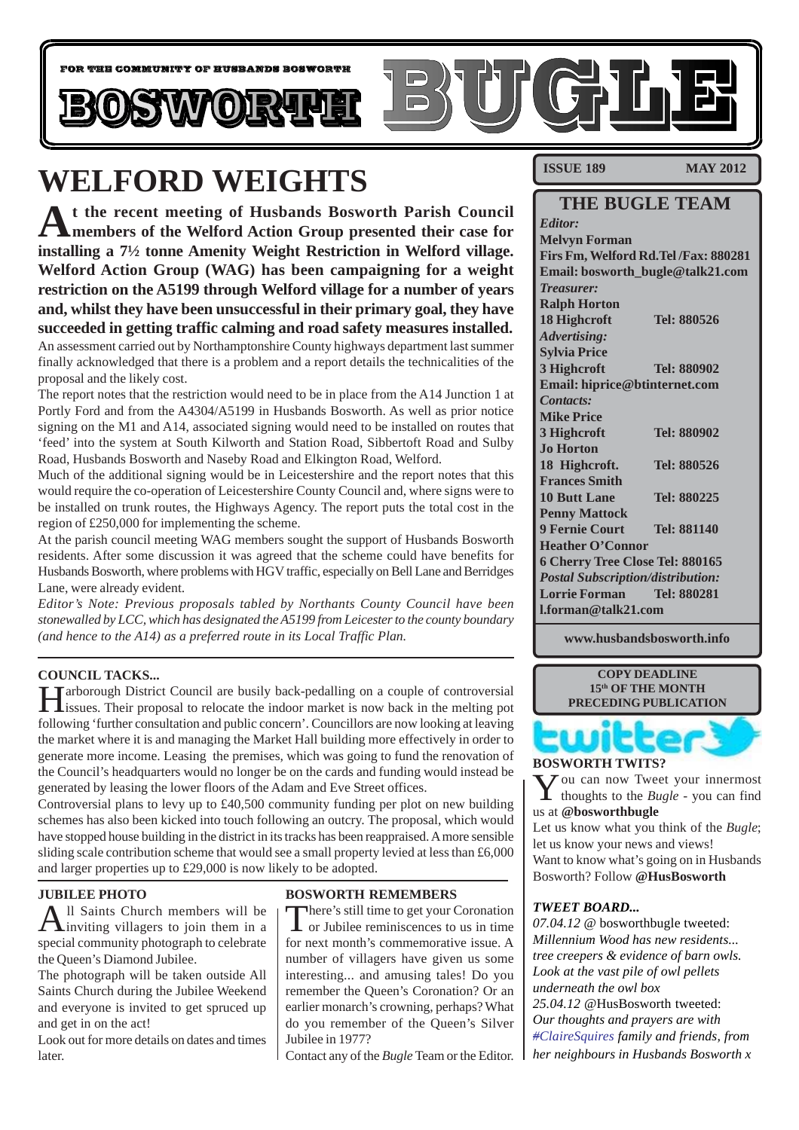

## **WELFORD WEIGHTS**

**At the recent meeting of Husbands Bosworth Parish Council members of the Welford Action Group presented their case for installing a 7½ tonne Amenity Weight Restriction in Welford village. Welford Action Group (WAG) has been campaigning for a weight restriction on the A5199 through Welford village for a number of years and, whilst they have been unsuccessful in their primary goal, they have succeeded in getting traffic calming and road safety measures installed.** An assessment carried out by Northamptonshire County highways department last summer

finally acknowledged that there is a problem and a report details the technicalities of the proposal and the likely cost.

The report notes that the restriction would need to be in place from the A14 Junction 1 at Portly Ford and from the A4304/A5199 in Husbands Bosworth. As well as prior notice signing on the M1 and A14, associated signing would need to be installed on routes that 'feed' into the system at South Kilworth and Station Road, Sibbertoft Road and Sulby Road, Husbands Bosworth and Naseby Road and Elkington Road, Welford.

Much of the additional signing would be in Leicestershire and the report notes that this would require the co-operation of Leicestershire County Council and, where signs were to be installed on trunk routes, the Highways Agency. The report puts the total cost in the region of £250,000 for implementing the scheme.

At the parish council meeting WAG members sought the support of Husbands Bosworth residents. After some discussion it was agreed that the scheme could have benefits for Husbands Bosworth, where problems with HGV traffic, especially on Bell Lane and Berridges Lane, were already evident.

*Editor's Note: Previous proposals tabled by Northants County Council have been stonewalled by LCC, which has designated the A5199 from Leicester to the county boundary (and hence to the A14) as a preferred route in its Local Traffic Plan.*

#### **COUNCIL TACKS...**

Tarborough District Council are busily back-pedalling on a couple of controversial issues. Their proposal to relocate the indoor market is now back in the melting pot following 'further consultation and public concern'. Councillors are now looking at leaving the market where it is and managing the Market Hall building more effectively in order to generate more income. Leasing the premises, which was going to fund the renovation of the Council's headquarters would no longer be on the cards and funding would instead be generated by leasing the lower floors of the Adam and Eve Street offices.

Controversial plans to levy up to £40,500 community funding per plot on new building schemes has also been kicked into touch following an outcry. The proposal, which would have stopped house building in the district in its tracks has been reappraised. A more sensible sliding scale contribution scheme that would see a small property levied at less than £6,000 and larger properties up to £29,000 is now likely to be adopted.

#### **JUBILEE PHOTO**

All Saints Church members will be inviting villagers to join them in a special community photograph to celebrate the Queen's Diamond Jubilee.

The photograph will be taken outside All Saints Church during the Jubilee Weekend and everyone is invited to get spruced up and get in on the act!

Look out for more details on dates and times later.

#### **BOSWORTH REMEMBERS**

There's still time to get your Coronation<br>
or Jubilee reminiscences to us in time for next month's commemorative issue. A number of villagers have given us some interesting... and amusing tales! Do you remember the Queen's Coronation? Or an earlier monarch's crowning, perhaps? What do you remember of the Queen's Silver Jubilee in 1977?

Contact any of the *Bugle* Team or the Editor.

**ISSUE 189 MAY 2012** 

#### **THE BUGLE TEAM**

*Editor:* **Melvyn Forman Firs Fm, Welford Rd.Tel /Fax: 880281 Email: bosworth\_bugle@talk21.com** *Treasurer:* **Ralph Horton 18 Highcroft Tel: 880526** *Advertising:* **Sylvia Price 3 Highcroft Tel: 880902 Email: hiprice@btinternet.com** *Contacts:* **Mike Price 3 Highcroft Tel: 880902 Jo Horton 18 Highcroft. Tel: 880526 Frances Smith 10 Butt Lane Tel: 880225 Penny Mattock 9 Fernie Court Tel: 881140 Heather O'Connor 6 Cherry Tree Close Tel: 880165** *Postal Subscription/distribution:* **Lorrie Forman Tel: 880281 l.forman@talk21.com**

**www.husbandsbosworth.info**

**COPY DEADLINE 15th OF THE MONTH PRECEDING PUBLICATION**

#### **BOSWORTH TWITS?**

UI.

You can now Tweet your innermost thoughts to the *Bugle* - you can find us at **@bosworthbugle**

Let us know what you think of the *Bugle*; let us know your news and views! Want to know what's going on in Husbands Bosworth? Follow **@HusBosworth**

#### *TWEET BOARD...*

*07.04.12* @ bosworthbugle tweeted: *Millennium Wood has new residents... tree creepers & evidence of barn owls. Look at the vast pile of owl pellets underneath the owl box 25.04.12* @HusBosworth tweeted: *Our thoughts and prayers are with #ClaireSquires family and friends, from her neighbours in Husbands Bosworth x*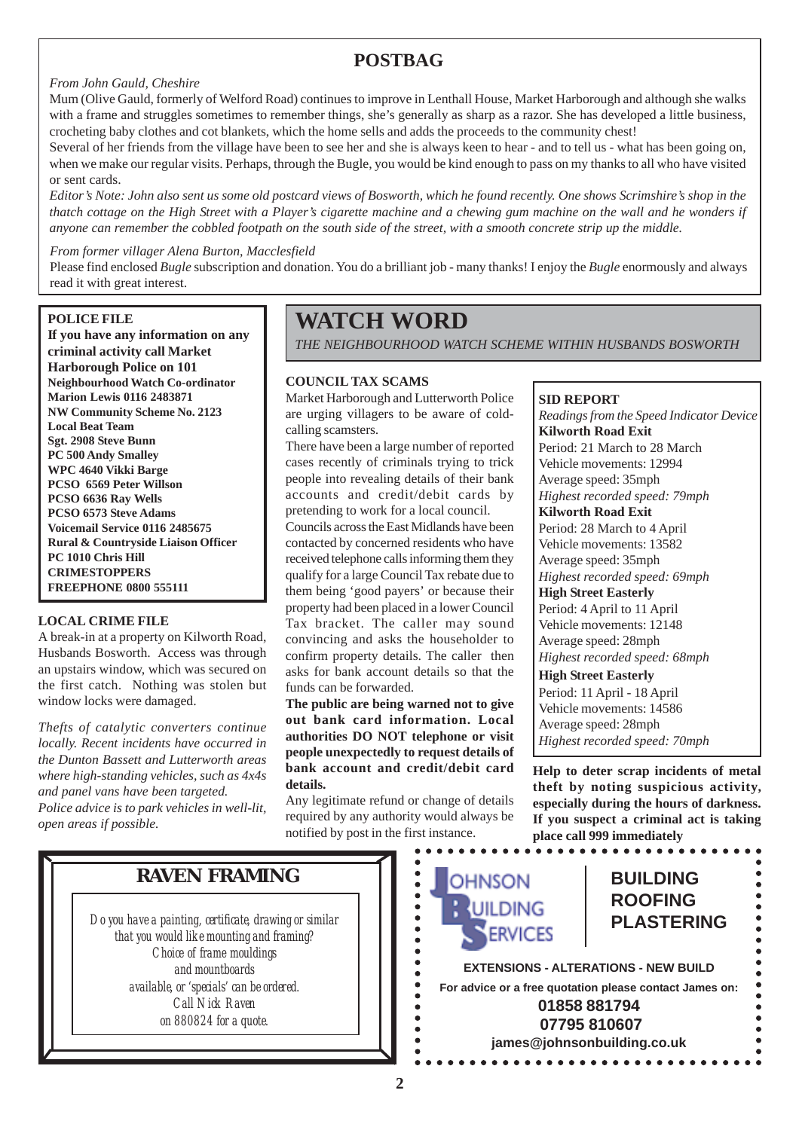### **POSTBAG**

#### *From John Gauld, Cheshire*

Mum (Olive Gauld, formerly of Welford Road) continues to improve in Lenthall House, Market Harborough and although she walks with a frame and struggles sometimes to remember things, she's generally as sharp as a razor. She has developed a little business, crocheting baby clothes and cot blankets, which the home sells and adds the proceeds to the community chest!

Several of her friends from the village have been to see her and she is always keen to hear - and to tell us - what has been going on, when we make our regular visits. Perhaps, through the Bugle, you would be kind enough to pass on my thanks to all who have visited or sent cards.

*Editor's Note: John also sent us some old postcard views of Bosworth, which he found recently. One shows Scrimshire's shop in the thatch cottage on the High Street with a Player's cigarette machine and a chewing gum machine on the wall and he wonders if anyone can remember the cobbled footpath on the south side of the street, with a smooth concrete strip up the middle.*

#### *From former villager Alena Burton, Macclesfield*

Please find enclosed *Bugle* subscription and donation. You do a brilliant job - many thanks! I enjoy the *Bugle* enormously and always read it with great interest.

#### **POLICE FILE**

**If you have any information on any criminal activity call Market Harborough Police on 101 Neighbourhood Watch Co-ordinator Marion Lewis 0116 2483871 NW Community Scheme No. 2123 Local Beat Team Sgt. 2908 Steve Bunn PC 500 Andy Smalley WPC 4640 Vikki Barge PCSO 6569 Peter Willson PCSO 6636 Ray Wells PCSO 6573 Steve Adams Voicemail Service 0116 2485675 Rural & Countryside Liaison Officer PC 1010 Chris Hill CRIMESTOPPERS FREEPHONE 0800 555111**

#### **LOCAL CRIME FILE**

A break-in at a property on Kilworth Road, Husbands Bosworth. Access was through an upstairs window, which was secured on the first catch. Nothing was stolen but window locks were damaged.

*Thefts of catalytic converters continue locally. Recent incidents have occurred in the Dunton Bassett and Lutterworth areas where high-standing vehicles, such as 4x4s and panel vans have been targeted.*

*Police advice is to park vehicles in well-lit, open areas if possible.*

### **WATCH WORD**

*THE NEIGHBOURHOOD WATCH SCHEME WITHIN HUSBANDS BOSWORTH*

#### **COUNCIL TAX SCAMS**

Market Harborough and Lutterworth Police are urging villagers to be aware of coldcalling scamsters.

There have been a large number of reported cases recently of criminals trying to trick people into revealing details of their bank accounts and credit/debit cards by pretending to work for a local council.

Councils across the East Midlands have been contacted by concerned residents who have received telephone calls informing them they qualify for a large Council Tax rebate due to them being 'good payers' or because their property had been placed in a lower Council Tax bracket. The caller may sound convincing and asks the householder to confirm property details. The caller then asks for bank account details so that the funds can be forwarded.

**The public are being warned not to give out bank card information. Local authorities DO NOT telephone or visit people unexpectedly to request details of bank account and credit/debit card details.**

Any legitimate refund or change of details required by any authority would always be notified by post in the first instance.

> $\bullet$  $\bullet$  $\bullet$

-----<br>---

 $\bullet$  $\bullet$  $\bullet$  **SID REPORT** *Readings from the Speed Indicator Device* **Kilworth Road Exit** Period: 21 March to 28 March Vehicle movements: 12994 Average speed: 35mph *Highest recorded speed: 79mph* **Kilworth Road Exit** Period: 28 March to 4 April Vehicle movements: 13582 Average speed: 35mph *Highest recorded speed: 69mph* **High Street Easterly** Period: 4 April to 11 April Vehicle movements: 12148 Average speed: 28mph *Highest recorded speed: 68mph* **High Street Easterly**

Period: 11 April - 18 April Vehicle movements: 14586 Average speed: 28mph *Highest recorded speed: 70mph*

**Help to deter scrap incidents of metal theft by noting suspicious activity, especially during the hours of darkness. If you suspect a criminal act is taking place call 999 immediately**

*Do you have a painting, certificate, drawing or similar that you would like mounting and framing? Choice of frame mouldings and mountboards available, or 'specials' can be ordered. Call Nick Raven on 880824 for a quote.*

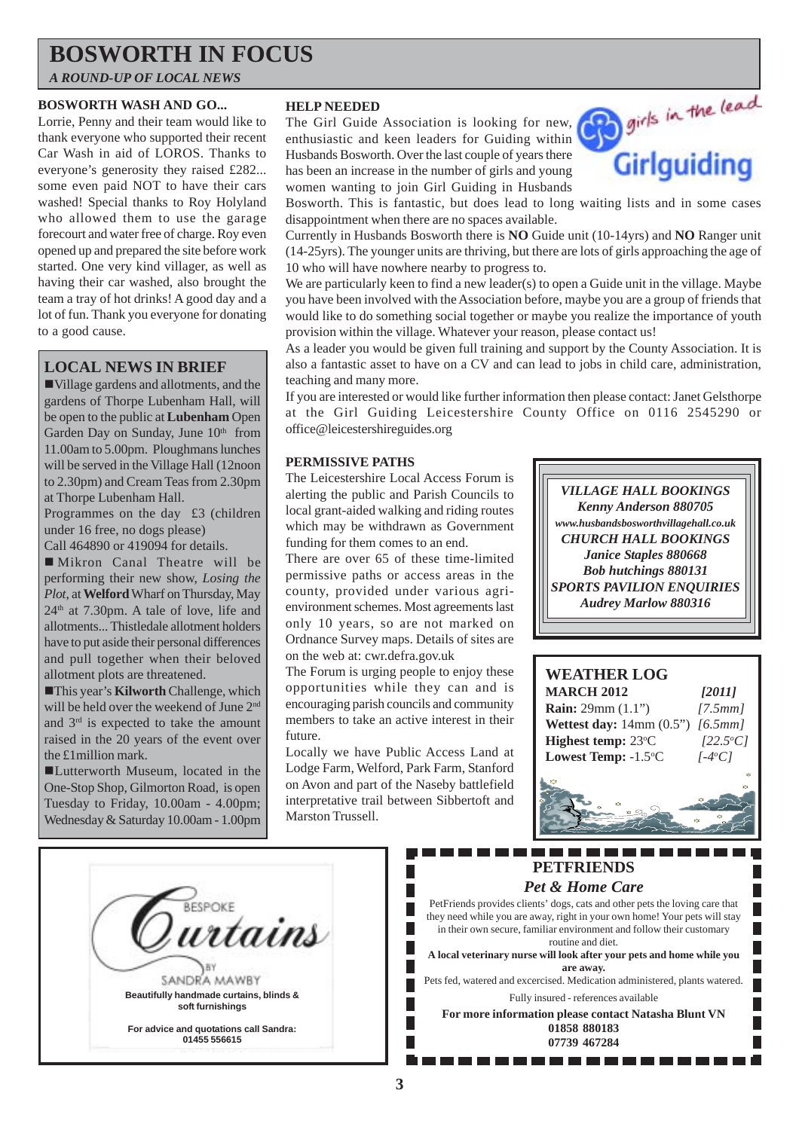### **BOSWORTH IN FOCUS**

*A ROUND-UP OF LOCAL NEWS*

#### **BOSWORTH WASH AND GO...**

Lorrie, Penny and their team would like to thank everyone who supported their recent Car Wash in aid of LOROS. Thanks to everyone's generosity they raised £282... some even paid NOT to have their cars washed! Special thanks to Roy Holyland who allowed them to use the garage forecourt and water free of charge. Roy even opened up and prepared the site before work started. One very kind villager, as well as having their car washed, also brought the team a tray of hot drinks! A good day and a lot of fun. Thank you everyone for donating to a good cause.

#### **LOCAL NEWS IN BRIEF**

!Village gardens and allotments, and the gardens of Thorpe Lubenham Hall, will be open to the public at **Lubenham** Open Garden Day on Sunday, June  $10<sup>th</sup>$  from 11.00am to 5.00pm. Ploughmans lunches will be served in the Village Hall (12noon to 2.30pm) and Cream Teas from 2.30pm at Thorpe Lubenham Hall.

Programmes on the day £3 (children under 16 free, no dogs please)

Call 464890 or 419094 for details.

! Mikron Canal Theatre will be performing their new show, *Losing the Plot*, at **Welford** Wharf on Thursday, May  $24<sup>th</sup>$  at 7.30pm. A tale of love, life and allotments... Thistledale allotment holders have to put aside their personal differences and pull together when their beloved allotment plots are threatened.

!This year's **Kilworth** Challenge, which will be held over the weekend of June 2<sup>nd</sup> and  $3<sup>rd</sup>$  is expected to take the amount raised in the 20 years of the event over the £1million mark.

!Lutterworth Museum, located in the One-Stop Shop, Gilmorton Road, is open Tuesday to Friday, 10.00am - 4.00pm; Wednesday & Saturday 10.00am - 1.00pm

#### **HELP NEEDED**

The Girl Guide Association is looking for new, enthusiastic and keen leaders for Guiding within Husbands Bosworth. Over the last couple of years there has been an increase in the number of girls and young women wanting to join Girl Guiding in Husbands



Bosworth. This is fantastic, but does lead to long waiting lists and in some cases disappointment when there are no spaces available.

Currently in Husbands Bosworth there is **NO** Guide unit (10-14yrs) and **NO** Ranger unit (14-25yrs). The younger units are thriving, but there are lots of girls approaching the age of 10 who will have nowhere nearby to progress to.

We are particularly keen to find a new leader(s) to open a Guide unit in the village. Maybe you have been involved with the Association before, maybe you are a group of friends that would like to do something social together or maybe you realize the importance of youth provision within the village. Whatever your reason, please contact us!

As a leader you would be given full training and support by the County Association. It is also a fantastic asset to have on a CV and can lead to jobs in child care, administration, teaching and many more.

If you are interested or would like further information then please contact: Janet Gelsthorpe at the Girl Guiding Leicestershire County Office on 0116 2545290 or office@leicestershireguides.org

#### **PERMISSIVE PATHS**

The Leicestershire Local Access Forum is alerting the public and Parish Councils to local grant-aided walking and riding routes which may be withdrawn as Government funding for them comes to an end.

There are over 65 of these time-limited permissive paths or access areas in the county, provided under various agrienvironment schemes. Most agreements last only 10 years, so are not marked on Ordnance Survey maps. Details of sites are on the web at: cwr.defra.gov.uk

The Forum is urging people to enjoy these opportunities while they can and is encouraging parish councils and community members to take an active interest in their future.

Locally we have Public Access Land at Lodge Farm, Welford, Park Farm, Stanford on Avon and part of the Naseby battlefield interpretative trail between Sibbertoft and Marston Trussell.

*VILLAGE HALL BOOKINGS Kenny Anderson 880705 www.husbandsbosworthvillagehall.co.uk CHURCH HALL BOOKINGS Janice Staples 880668 Bob hutchings 880131 SPORTS PAVILION ENQUIRIES Audrey Marlow 880316*



П П

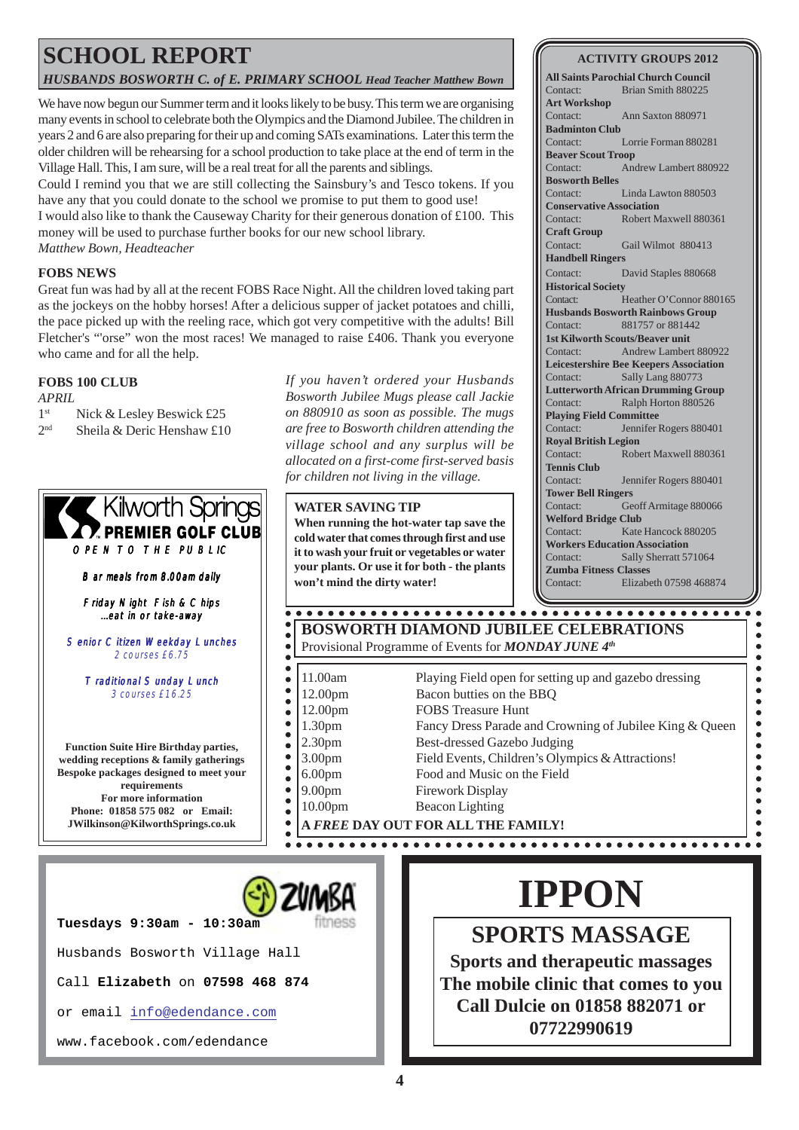## **SCHOOL REPORT**

*HUSBANDS BOSWORTH C. of E. PRIMARY SCHOOL Head Teacher Matthew Bown*

We have now begun our Summer term and it looks likely to be busy. This term we are organising many events in school to celebrate both the Olympics and the Diamond Jubilee. The children in years 2 and 6 are also preparing for their up and coming SATs examinations. Later this term the older children will be rehearsing for a school production to take place at the end of term in the Village Hall. This, I am sure, will be a real treat for all the parents and siblings.

Could I remind you that we are still collecting the Sainsbury's and Tesco tokens. If you have any that you could donate to the school we promise to put them to good use! I would also like to thank the Causeway Charity for their generous donation of £100. This money will be used to purchase further books for our new school library. *Matthew Bown, Headteacher*

#### **FOBS NEWS**

Great fun was had by all at the recent FOBS Race Night. All the children loved taking part as the jockeys on the hobby horses! After a delicious supper of jacket potatoes and chilli, the pace picked up with the reeling race, which got very competitive with the adults! Bill Fletcher's "'orse" won the most races! We managed to raise £406. Thank you everyone who came and for all the help.

 $\bullet$ 

 $\bullet$  $\bullet$  $\bullet$  $\bullet$  $\bullet$  $\bullet$  $\bullet$  $\bullet$  $\bullet$  $\bullet$  $\bullet$  $\bullet$  $\bullet$  $\bullet$ 

#### **FOBS 100 CLUB**

*APRIL*

- 1st Nick & Lesley Beswick £25
- 2nd Sheila & Deric Henshaw £10

OPEN TO THE PUBLIC Bar meals from 8.00am daily Friday Night Fish & Chips ...eat in or take-away Senior Citizen Weekday Lunches 2 courses £6.75 Traditional Sunday Lunch 3 courses £16.25

' Kilworth Springs **PREMIER GOLF CLUB** 

**Function Suite Hire Birthday parties, wedding receptions & family gatherings Bespoke packages designed to meet your requirements For more information Phone: 01858 575 082 or Email: JWilkinson@KilworthSprings.co.uk**

*If you haven't ordered your Husbands Bosworth Jubilee Mugs please call Jackie on 880910 as soon as possible. The mugs are free to Bosworth children attending the village school and any surplus will be allocated on a first-come first-served basis for children not living in the village.*

**WATER SAVING TIP When running the hot-water tap save the cold water that comes through first and use it to wash your fruit or vegetables or water your plants. Or use it for both - the plants won't mind the dirty water!**

#### **BOSWORTH DIAMOND JUBILEE CELEBRATIONS** Provisional Programme of Events for *MONDAY JUNE 4th*

- 11.00am Playing Field open for setting up and gazebo dressing
- 12.00pm Bacon butties on the BBQ
- 12.00pm FOBS Treasure Hunt
- 1.30pm Fancy Dress Parade and Crowning of Jubilee King & Queen
- 2.30pm Best-dressed Gazebo Judging
- 3.00pm Field Events, Children's Olympics & Attractions!
- 6.00pm Food and Music on the Field
- 9.00pm Firework Display
- 10.00pm Beacon Lighting

**A** *FREE* **DAY OUT FOR ALL THE FAMILY!**



Call **Elizabeth** on **07598 468 874**

or email info@edendance.com

www.facebook.com/edendance

# **IPPON**

**SPORTS MASSAGE Sports and therapeutic massages The mobile clinic that comes to you Call Dulcie on 01858 882071 or 07722990619**

#### **ACTIVITY GROUPS 2012**

**All Saints Parochial Church Council** Contact: Brian Smith 880225 **Art Workshop** Contact: Ann Saxton 880971 **Badminton Club** Contact: Lorrie Forman 880281 **Beaver Scout Troop** Contact: Andrew Lambert 880922 **Bosworth Belles** Contact: Linda Lawton 880503 **Conservative Association** Contact: Robert Maxwell 880361 **Craft Group** Contact: Gail Wilmot 880413 **Handbell Ringers** Contact: David Staples 880668 **Historical Society** Contact: Heather O'Connor 880165 **Husbands Bosworth Rainbows Group** Contact: 881757 or 881442 **1st Kilworth Scouts/Beaver unit** Contact: Andrew Lambert 880922 **Leicestershire Bee Keepers Association** Contact: Sally Lang 880773 **Lutterworth African Drumming Group** Contact: Ralph Horton 880526 **Playing Field Committee** Contact: Jennifer Rogers 880401 **Royal British Legion** Contact: Robert Maxwell 880361 **Tennis Club** Contact: Jennifer Rogers 880401 **Tower Bell Ringers** Contact: Geoff Armitage 880066 **Welford Bridge Club** Contact: Kate Hancock 880205 **Workers Education Association** Contact: Sally Sherratt 571064 **Zumba Fitness Classes** Contact: Elizabeth 07598 468874

> $\bullet$  $\bullet$

 $\bullet$  $\blacksquare$  $\bullet$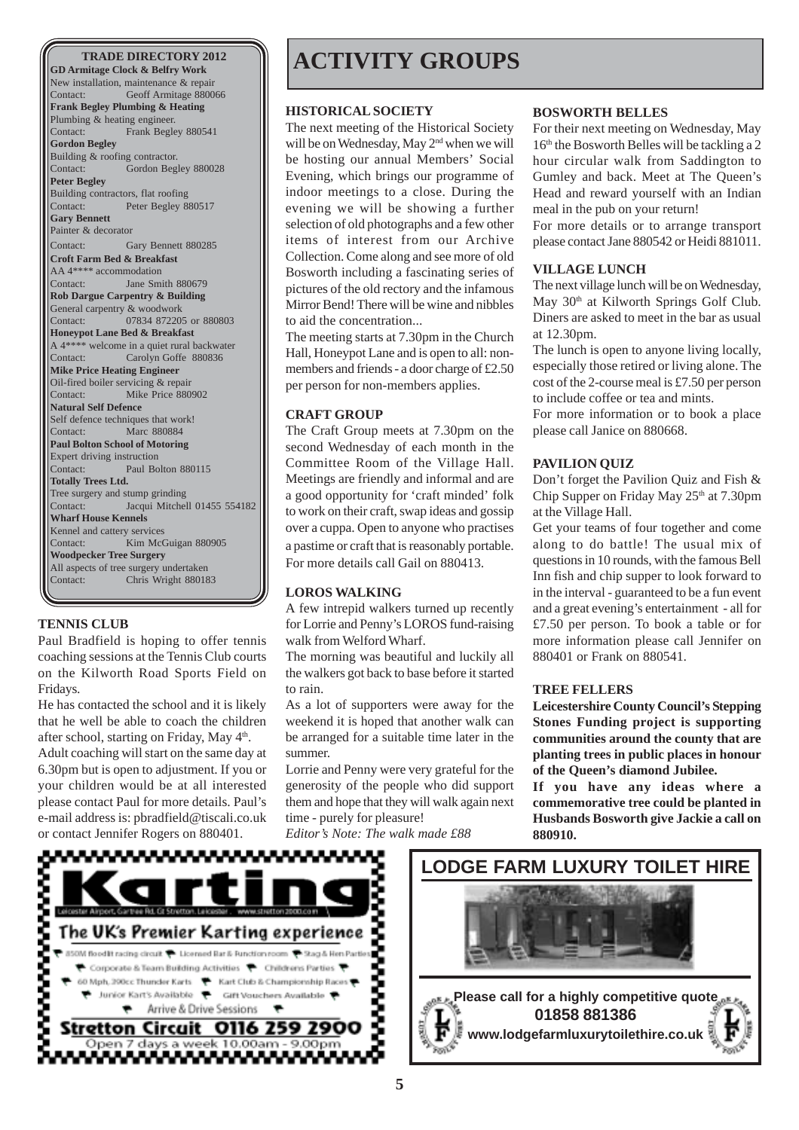**GD Armitage Clock & Belfry Work** New installation, maintenance & repair Contact: Geoff Armitage 880066 **Frank Begley Plumbing & Heating** Plumbing & heating engineer. Contact: Frank Begley 880541 **Gordon Begley** Building & roofing contractor. Contact: Gordon Begley 880028 **Peter Begley** Building contractors, flat roofing Contact: Peter Begley 880517 **Gary Bennett** Painter & decorator Contact: Gary Bennett 880285 **Croft Farm Bed & Breakfast** AA 4\*\*\*\* accommodation<br>Contact: Jane Sm Jane Smith 880679 **Rob Dargue Carpentry & Building** General carpentry & woodwork Contact: 07834 872205 or 880803 **Honeypot Lane Bed & Breakfast** A 4\*\*\*\* welcome in a quiet rural backwater Contact: Carolyn Goffe 880836 **Mike Price Heating Engineer** Oil-fired boiler servicing & repair Contact: Mike Price 880902 **Natural Self Defence** Self defence techniques that work! Contact: Marc 880884 **Paul Bolton School of Motoring** Expert driving instruction Contact: Paul Bolton 880115 **Totally Trees Ltd.** Tree surgery and stump grinding Contact: Jacqui Mitchell 01455 554182 **Wharf House Kennels** Kennel and cattery services Contact: Kim McGuigan 880905 **Woodpecker Tree Surgery** All aspects of tree surgery undertaken Contact: Chris Wright 880183

#### **TENNIS CLUB**

Paul Bradfield is hoping to offer tennis coaching sessions at the Tennis Club courts on the Kilworth Road Sports Field on Fridays.

He has contacted the school and it is likely that he well be able to coach the children after school, starting on Friday, May  $4<sup>th</sup>$ . Adult coaching will start on the same day at 6.30pm but is open to adjustment. If you or your children would be at all interested please contact Paul for more details. Paul's e-mail address is: pbradfield@tiscali.co.uk or contact Jennifer Rogers on 880401.

### **ACTIVITY GROUPS**

#### **HISTORICAL SOCIETY**

The next meeting of the Historical Society will be on Wednesday, May 2<sup>nd</sup> when we will be hosting our annual Members' Social Evening, which brings our programme of indoor meetings to a close. During the evening we will be showing a further selection of old photographs and a few other items of interest from our Archive Collection. Come along and see more of old Bosworth including a fascinating series of pictures of the old rectory and the infamous Mirror Bend! There will be wine and nibbles to aid the concentration...

The meeting starts at 7.30pm in the Church Hall, Honeypot Lane and is open to all: nonmembers and friends - a door charge of £2.50 per person for non-members applies.

#### **CRAFT GROUP**

The Craft Group meets at 7.30pm on the second Wednesday of each month in the Committee Room of the Village Hall. Meetings are friendly and informal and are a good opportunity for 'craft minded' folk to work on their craft, swap ideas and gossip over a cuppa. Open to anyone who practises a pastime or craft that is reasonably portable. For more details call Gail on 880413.

#### **LOROS WALKING**

A few intrepid walkers turned up recently for Lorrie and Penny's LOROS fund-raising walk from Welford Wharf.

The morning was beautiful and luckily all the walkers got back to base before it started to rain.

As a lot of supporters were away for the weekend it is hoped that another walk can be arranged for a suitable time later in the summer.

Lorrie and Penny were very grateful for the generosity of the people who did support them and hope that they will walk again next time - purely for pleasure!

*Editor's Note: The walk made £88*

#### **BOSWORTH BELLES**

For their next meeting on Wednesday, May  $16<sup>th</sup>$  the Bosworth Belles will be tackling a 2 hour circular walk from Saddington to Gumley and back. Meet at The Queen's Head and reward yourself with an Indian meal in the pub on your return!

For more details or to arrange transport please contact Jane 880542 or Heidi 881011.

#### **VILLAGE LUNCH**

The next village lunch will be on Wednesday, May 30<sup>th</sup> at Kilworth Springs Golf Club. Diners are asked to meet in the bar as usual at 12.30pm.

The lunch is open to anyone living locally, especially those retired or living alone. The cost of the 2-course meal is £7.50 per person to include coffee or tea and mints.

For more information or to book a place please call Janice on 880668.

#### **PAVILION QUIZ**

Don't forget the Pavilion Quiz and Fish & Chip Supper on Friday May  $25<sup>th</sup>$  at 7.30pm at the Village Hall.

Get your teams of four together and come along to do battle! The usual mix of questions in 10 rounds, with the famous Bell Inn fish and chip supper to look forward to in the interval - guaranteed to be a fun event and a great evening's entertainment - all for £7.50 per person. To book a table or for more information please call Jennifer on 880401 or Frank on 880541.

#### **TREE FELLERS**

**Leicestershire County Council's Stepping Stones Funding project is supporting communities around the county that are planting trees in public places in honour of the Queen's diamond Jubilee.**

**If you have any ideas where a commemorative tree could be planted in Husbands Bosworth give Jackie a call on 880910.**



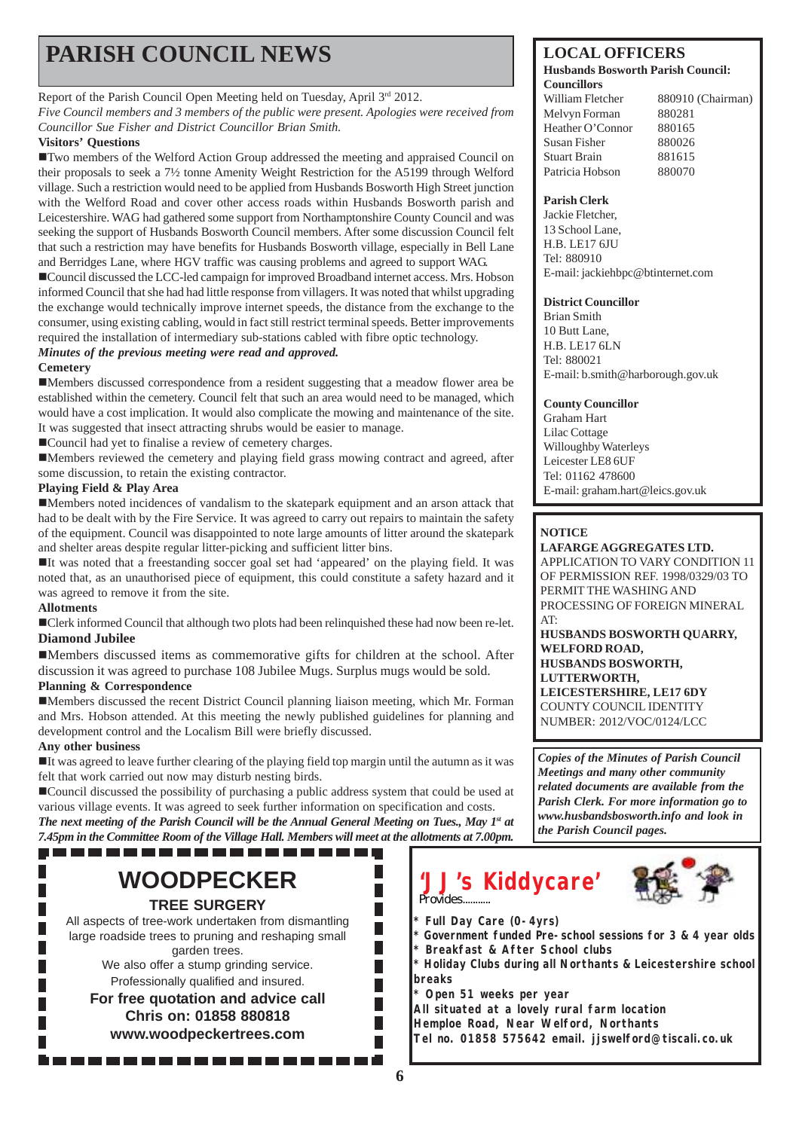## **PARISH COUNCIL NEWS** LOCAL OFFICERS

#### Report of the Parish Council Open Meeting held on Tuesday, April 3rd 2012.

*Five Council members and 3 members of the public were present. Apologies were received from Councillor Sue Fisher and District Councillor Brian Smith.*

#### **Visitors' Questions**

!Two members of the Welford Action Group addressed the meeting and appraised Council on their proposals to seek a 7½ tonne Amenity Weight Restriction for the A5199 through Welford village. Such a restriction would need to be applied from Husbands Bosworth High Street junction with the Welford Road and cover other access roads within Husbands Bosworth parish and Leicestershire. WAG had gathered some support from Northamptonshire County Council and was seeking the support of Husbands Bosworth Council members. After some discussion Council felt that such a restriction may have benefits for Husbands Bosworth village, especially in Bell Lane and Berridges Lane, where HGV traffic was causing problems and agreed to support WAG.

!Council discussed the LCC-led campaign for improved Broadband internet access. Mrs. Hobson informed Council that she had had little response from villagers. It was noted that whilst upgrading the exchange would technically improve internet speeds, the distance from the exchange to the consumer, using existing cabling, would in fact still restrict terminal speeds. Better improvements required the installation of intermediary sub-stations cabled with fibre optic technology. *Minutes of the previous meeting were read and approved.*

#### **Cemetery**

!Members discussed correspondence from a resident suggesting that a meadow flower area be established within the cemetery. Council felt that such an area would need to be managed, which would have a cost implication. It would also complicate the mowing and maintenance of the site. It was suggested that insect attracting shrubs would be easier to manage.

!Council had yet to finalise a review of cemetery charges.

!Members reviewed the cemetery and playing field grass mowing contract and agreed, after some discussion, to retain the existing contractor.

#### **Playing Field & Play Area**

!Members noted incidences of vandalism to the skatepark equipment and an arson attack that had to be dealt with by the Fire Service. It was agreed to carry out repairs to maintain the safety of the equipment. Council was disappointed to note large amounts of litter around the skatepark and shelter areas despite regular litter-picking and sufficient litter bins.

!It was noted that a freestanding soccer goal set had 'appeared' on the playing field. It was noted that, as an unauthorised piece of equipment, this could constitute a safety hazard and it was agreed to remove it from the site.

#### **Allotments**

!Clerk informed Council that although two plots had been relinquished these had now been re-let. **Diamond Jubilee**

!Members discussed items as commemorative gifts for children at the school. After discussion it was agreed to purchase 108 Jubilee Mugs. Surplus mugs would be sold.

#### **Planning & Correspondence**

!Members discussed the recent District Council planning liaison meeting, which Mr. Forman and Mrs. Hobson attended. At this meeting the newly published guidelines for planning and development control and the Localism Bill were briefly discussed.

#### **Any other business**

!It was agreed to leave further clearing of the playing field top margin until the autumn as it was felt that work carried out now may disturb nesting birds.

!Council discussed the possibility of purchasing a public address system that could be used at various village events. It was agreed to seek further information on specification and costs.

*The next meeting of the Parish Council will be the Annual General Meeting on Tues., May 1st at 7.45pm in the Committee Room of the Village Hall. Members will meet at the allotments at 7.00pm.* ,,,,,,,,,,,,,,,,,,,,,

### **WOODPECKER TREE SURGERY**

All aspects of tree-work undertaken from dismantling large roadside trees to pruning and reshaping small garden trees.

We also offer a stump grinding service. Professionally qualified and insured.

**For free quotation and advice call Chris on: 01858 880818 www.woodpeckertrees.com**

#### **Husbands Bosworth Parish Council: Councillors**

William Fletcher 880910 (Chairman) Melvyn Forman 880281 Heather O'Connor 880165 Susan Fisher 880026 Stuart Brain 881615 Patricia Hobson 880070

#### **Parish Clerk**

Jackie Fletcher, 13 School Lane, H.B. LE17 6JU Tel: 880910 E-mail: jackiehbpc@btinternet.com

#### **District Councillor**

Brian Smith 10 Butt Lane, H.B. LE17 6LN Tel: 880021 E-mail: b.smith@harborough.gov.uk

#### **County Councillor**

Graham Hart Lilac Cottage Willoughby Waterleys Leicester LE8 6UF Tel: 01162 478600 E-mail: graham.hart@leics.gov.uk

#### **NOTICE**

**LAFARGE AGGREGATES LTD.** APPLICATION TO VARY CONDITION 11 OF PERMISSION REF. 1998/0329/03 TO PERMIT THE WASHING AND PROCESSING OF FOREIGN MINERAL AT: **HUSBANDS BOSWORTH QUARRY, WELFORD ROAD, HUSBANDS BOSWORTH, LUTTERWORTH, LEICESTERSHIRE, LE17 6DY** COUNTY COUNCIL IDENTITY NUMBER: 2012/VOC/0124/LCC

*Copies of the Minutes of Parish Council Meetings and many other community related documents are available from the Parish Clerk. For more information go to www.husbandsbosworth.info and look in the Parish Council pages.*

### **'JJ's Kiddycare'** Provides...........

- **\* Full Day Care (0-4yrs)**
- **\* Government funded Pre-school sessions for 3 & 4 year olds \* Breakfast & After School clubs**
- **\* Holiday Clubs during all Northants & Leicestershire school**
- **breaks**

**\* Open 51 weeks per year**

**All situated at a lovely rural farm location**

**Hemploe Road, Near Welford, Northants**

**Tel no. 01858 575642 email. jjswelford@tiscali.co.uk**

П П П  $\overline{\phantom{a}}$  $\overline{\phantom{a}}$ П  $\Box$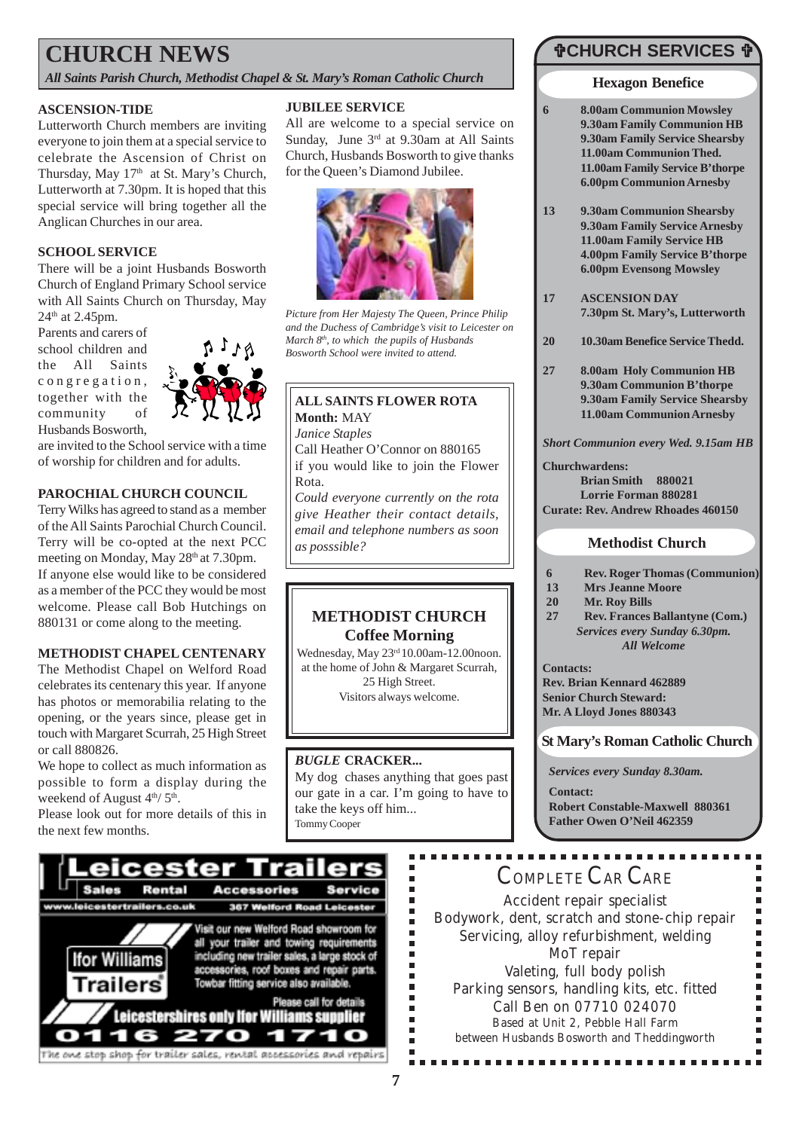### **CHURCH NEWS**

*All Saints Parish Church, Methodist Chapel & St. Mary's Roman Catholic Church*

#### **ASCENSION-TIDE**

Lutterworth Church members are inviting everyone to join them at a special service to celebrate the Ascension of Christ on Thursday, May 17<sup>th</sup> at St. Mary's Church, Lutterworth at 7.30pm. It is hoped that this special service will bring together all the Anglican Churches in our area.

#### **SCHOOL SERVICE**

There will be a joint Husbands Bosworth Church of England Primary School service with All Saints Church on Thursday, May  $24<sup>th</sup>$  at 2.45pm.

Parents and carers of school children and the All Saints congregation, together with the community of Husbands Bosworth,



are invited to the School service with a time of worship for children and for adults.

#### **PAROCHIAL CHURCH COUNCIL**

Terry Wilks has agreed to stand as a member of the All Saints Parochial Church Council. Terry will be co-opted at the next PCC meeting on Monday, May 28<sup>th</sup> at 7.30pm. If anyone else would like to be considered as a member of the PCC they would be most welcome. Please call Bob Hutchings on 880131 or come along to the meeting.

#### **METHODIST CHAPEL CENTENARY**

The Methodist Chapel on Welford Road celebrates its centenary this year. If anyone has photos or memorabilia relating to the opening, or the years since, please get in touch with Margaret Scurrah, 25 High Street or call 880826.

We hope to collect as much information as possible to form a display during the weekend of August  $4<sup>th</sup>/ 5<sup>th</sup>$ .

Please look out for more details of this in the next few months.

#### **JUBILEE SERVICE**

All are welcome to a special service on Sunday, June 3<sup>rd</sup> at 9.30am at All Saints Church, Husbands Bosworth to give thanks for the Queen's Diamond Jubilee.



*Picture from Her Majesty The Queen, Prince Philip and the Duchess of Cambridge's visit to Leicester on March 8th, to which the pupils of Husbands Bosworth School were invited to attend.*

#### **ALL SAINTS FLOWER ROTA Month:** MAY *Janice Staples* Call Heather O'Connor on 880165 if you would like to join the Flower Rota. *Could everyone currently on the rota give Heather their contact details, email and telephone numbers as soon*

#### **METHODIST CHURCH Coffee Morning**

Wednesday, May 23rd 10.00am-12.00noon. at the home of John & Margaret Scurrah, 25 High Street. Visitors always welcome.

#### *BUGLE* **CRACKER...**

My dog chases anything that goes past our gate in a car. I'm going to have to take the keys off him... Tommy Cooper

### "**CHURCH SERVICES** "

#### **Hexagon Benefice**

- **6 8.00am Communion Mowsley 9.30am Family Communion HB 9.30am Family Service Shearsby 11.00am Communion Thed. 11.00am Family Service B'thorpe 6.00pm Communion Arnesby**
- **13 9.30am Communion Shearsby 9.30am Family Service Arnesby 11.00am Family Service HB 4.00pm Family Service B'thorpe 6.00pm Evensong Mowsley**
- **17 ASCENSION DAY 7.30pm St. Mary's, Lutterworth**
- **20 10.30am Benefice Service Thedd.**
- **27 8.00am Holy Communion HB 9.30am Communion B'thorpe 9.30am Family Service Shearsby 11.00am Communion Arnesby**

#### *Short Communion every Wed. 9.15am HB*

**Churchwardens: Brian Smith 880021 Lorrie Forman 880281 Curate: Rev. Andrew Rhoades 460150**

#### *as posssible?* **Methodist Church**

- **6 Rev. Roger Thomas (Communion)**
- **13 Mrs Jeanne Moore**
- **20 Mr. Roy Bills**
- **27 Rev. Frances Ballantyne (Com.)** *Services every Sunday 6.30pm. All Welcome*

**Contacts: Rev. Brian Kennard 462889 Senior Church Steward: Mr. A Lloyd Jones 880343**

#### **St Mary's Roman Catholic Church**

*Services every Sunday 8.30am.*

**Contact: Robert Constable-Maxwell 880361 Father Owen O'Neil 462359**



### COMPLETE CAR CARE

Accident repair specialist Bodywork, dent, scratch and stone-chip repair Servicing, alloy refurbishment, welding MoT repair Valeting, full body polish Parking sensors, handling kits, etc. fitted Call Ben on 07710 024070 Based at Unit 2, Pebble Hall Farm between Husbands Bosworth and Theddingworth

................

Ė

Ė É

Ē.